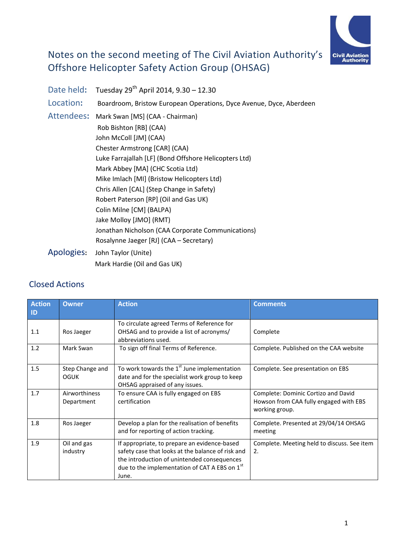

# Notes on the second meeting of The Civil Aviation Authority's Offshore Helicopter Safety Action Group (OHSAG)

|                                               | Date held: Tuesday 29 <sup>th</sup> April 2014, 9.30 - 12.30        |
|-----------------------------------------------|---------------------------------------------------------------------|
| Location:                                     | Boardroom, Bristow European Operations, Dyce Avenue, Dyce, Aberdeen |
| Attendees:<br>Mark Swan [MS] (CAA - Chairman) |                                                                     |
|                                               | Rob Bishton [RB] (CAA)                                              |
|                                               | John McColl [JM] (CAA)                                              |
|                                               | Chester Armstrong [CAR] (CAA)                                       |
|                                               | Luke Farrajallah [LF] (Bond Offshore Helicopters Ltd)               |
|                                               | Mark Abbey [MA] (CHC Scotia Ltd)                                    |
|                                               | Mike Imlach [MI] (Bristow Helicopters Ltd)                          |
|                                               | Chris Allen [CAL] (Step Change in Safety)                           |
|                                               | Robert Paterson [RP] (Oil and Gas UK)                               |
|                                               | Colin Milne [CM] (BALPA)                                            |
|                                               | Jake Molloy [JMO] (RMT)                                             |
|                                               | Jonathan Nicholson (CAA Corporate Communications)                   |
|                                               | Rosalynne Jaeger [RJ] (CAA - Secretary)                             |
| Apologies:                                    | John Taylor (Unite)                                                 |
|                                               | Mark Hardie (Oil and Gas UK)                                        |

# Closed Actions

| <b>Action</b><br>ID | <b>Owner</b>                | <b>Action</b>                                                                                                                                                                                              | <b>Comments</b>                                                                                 |
|---------------------|-----------------------------|------------------------------------------------------------------------------------------------------------------------------------------------------------------------------------------------------------|-------------------------------------------------------------------------------------------------|
| 1.1                 | Ros Jaeger                  | To circulate agreed Terms of Reference for<br>OHSAG and to provide a list of acronyms/<br>abbreviations used.                                                                                              | Complete                                                                                        |
| 1.2                 | Mark Swan                   | To sign off final Terms of Reference.                                                                                                                                                                      | Complete. Published on the CAA website                                                          |
| 1.5                 | Step Change and<br>OGUK     | To work towards the 1 <sup>st</sup> June implementation<br>date and for the specialist work group to keep<br>OHSAG appraised of any issues.                                                                | Complete. See presentation on EBS                                                               |
| 1.7                 | Airworthiness<br>Department | To ensure CAA is fully engaged on EBS<br>certification                                                                                                                                                     | Complete: Dominic Cortizo and David<br>Howson from CAA fully engaged with EBS<br>working group. |
| 1.8                 | Ros Jaeger                  | Develop a plan for the realisation of benefits<br>and for reporting of action tracking.                                                                                                                    | Complete. Presented at 29/04/14 OHSAG<br>meeting                                                |
| 1.9                 | Oil and gas<br>industry     | If appropriate, to prepare an evidence-based<br>safety case that looks at the balance of risk and<br>the introduction of unintended consequences<br>due to the implementation of CAT A EBS on 1st<br>June. | Complete. Meeting held to discuss. See item<br>2.                                               |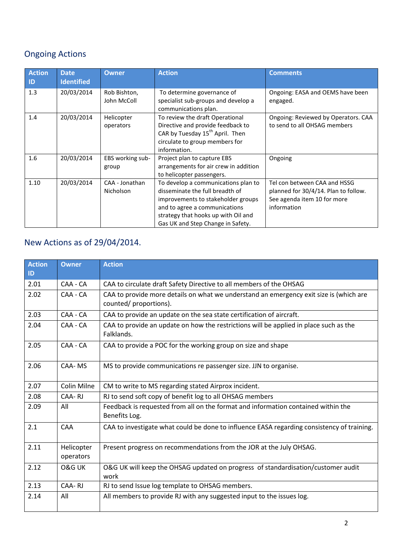# Ongoing Actions

| <b>Action</b><br>ID | <b>Date</b><br><b>Identified</b> | <b>Owner</b>                       | <b>Action</b>                                                                                                                                                                                                             | <b>Comments</b>                                                                                                    |
|---------------------|----------------------------------|------------------------------------|---------------------------------------------------------------------------------------------------------------------------------------------------------------------------------------------------------------------------|--------------------------------------------------------------------------------------------------------------------|
| 1.3                 | 20/03/2014                       | Rob Bishton,<br>John McColl        | To determine governance of<br>specialist sub-groups and develop a<br>communications plan.                                                                                                                                 | Ongoing: EASA and OEMS have been<br>engaged.                                                                       |
| 1.4                 | 20/03/2014                       | Helicopter<br>operators            | To review the draft Operational<br>Directive and provide feedback to<br>CAR by Tuesday 15 <sup>th</sup> April. Then<br>circulate to group members for<br>information.                                                     | Ongoing: Reviewed by Operators. CAA<br>to send to all OHSAG members                                                |
| 1.6                 | 20/03/2014                       | EBS working sub-<br>group          | Project plan to capture EBS<br>arrangements for air crew in addition<br>to helicopter passengers.                                                                                                                         | Ongoing                                                                                                            |
| 1.10                | 20/03/2014                       | CAA - Jonathan<br><b>Nicholson</b> | To develop a communications plan to<br>disseminate the full breadth of<br>improvements to stakeholder groups<br>and to agree a communications<br>strategy that hooks up with Oil and<br>Gas UK and Step Change in Safety. | Tel con between CAA and HSSG<br>planned for 30/4/14. Plan to follow.<br>See agenda item 10 for more<br>information |

# New Actions as of 29/04/2014.

| <b>Action</b><br>ID | <b>Owner</b>            | <b>Action</b>                                                                                                    |
|---------------------|-------------------------|------------------------------------------------------------------------------------------------------------------|
| 2.01                | CAA - CA                | CAA to circulate draft Safety Directive to all members of the OHSAG                                              |
| 2.02                | CAA - CA                | CAA to provide more details on what we understand an emergency exit size is (which are<br>counted/ proportions). |
| 2.03                | CAA - CA                | CAA to provide an update on the sea state certification of aircraft.                                             |
| 2.04                | CAA - CA                | CAA to provide an update on how the restrictions will be applied in place such as the<br>Falklands.              |
| 2.05                | CAA - CA                | CAA to provide a POC for the working group on size and shape                                                     |
| 2.06                | CAA-MS                  | MS to provide communications re passenger size. JJN to organise.                                                 |
| 2.07                | Colin Milne             | CM to write to MS regarding stated Airprox incident.                                                             |
| 2.08                | CAA-RJ                  | RJ to send soft copy of benefit log to all OHSAG members                                                         |
| 2.09                | All                     | Feedback is requested from all on the format and information contained within the<br>Benefits Log.               |
| 2.1                 | CAA                     | CAA to investigate what could be done to influence EASA regarding consistency of training.                       |
| 2.11                | Helicopter<br>operators | Present progress on recommendations from the JOR at the July OHSAG.                                              |
| 2.12                | O&G UK                  | O&G UK will keep the OHSAG updated on progress of standardisation/customer audit<br>work                         |
| 2.13                | CAA-RJ                  | RJ to send Issue log template to OHSAG members.                                                                  |
| 2.14                | All                     | All members to provide RJ with any suggested input to the issues log.                                            |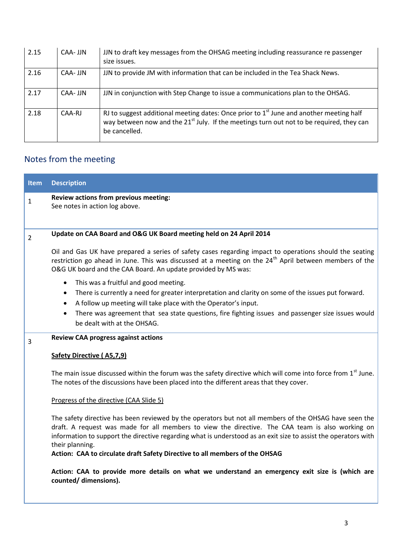| 2.15 | CAA- JJN | JJN to draft key messages from the OHSAG meeting including reassurance re passenger<br>size issues.                                                                                                                |
|------|----------|--------------------------------------------------------------------------------------------------------------------------------------------------------------------------------------------------------------------|
| 2.16 | CAA- JJN | JJN to provide JM with information that can be included in the Tea Shack News.                                                                                                                                     |
| 2.17 | CAA- JJN | JJN in conjunction with Step Change to issue a communications plan to the OHSAG.                                                                                                                                   |
| 2.18 | CAA-RJ   | RJ to suggest additional meeting dates: Once prior to $1st$ June and another meeting half<br>way between now and the 21 <sup>st</sup> July. If the meetings turn out not to be required, they can<br>be cancelled. |

# Notes from the meeting

| <b>Item</b>    | <b>Description</b>                                                                                                                                                                                                                                                                                                                              |
|----------------|-------------------------------------------------------------------------------------------------------------------------------------------------------------------------------------------------------------------------------------------------------------------------------------------------------------------------------------------------|
| 1              | Review actions from previous meeting:<br>See notes in action log above.                                                                                                                                                                                                                                                                         |
| $\overline{2}$ | Update on CAA Board and O&G UK Board meeting held on 24 April 2014                                                                                                                                                                                                                                                                              |
|                | Oil and Gas UK have prepared a series of safety cases regarding impact to operations should the seating<br>restriction go ahead in June. This was discussed at a meeting on the 24 <sup>th</sup> April between members of the<br>O&G UK board and the CAA Board. An update provided by MS was:                                                  |
|                | This was a fruitful and good meeting.<br>$\bullet$<br>There is currently a need for greater interpretation and clarity on some of the issues put forward.<br>$\bullet$<br>A follow up meeting will take place with the Operator's input.<br>$\bullet$                                                                                           |
|                | There was agreement that sea state questions, fire fighting issues and passenger size issues would<br>$\bullet$<br>be dealt with at the OHSAG.                                                                                                                                                                                                  |
| 3              | <b>Review CAA progress against actions</b>                                                                                                                                                                                                                                                                                                      |
|                | <b>Safety Directive (A5,7,9)</b>                                                                                                                                                                                                                                                                                                                |
|                | The main issue discussed within the forum was the safety directive which will come into force from 1 <sup>st</sup> June.<br>The notes of the discussions have been placed into the different areas that they cover.                                                                                                                             |
|                | Progress of the directive (CAA Slide 5)                                                                                                                                                                                                                                                                                                         |
|                | The safety directive has been reviewed by the operators but not all members of the OHSAG have seen the<br>draft. A request was made for all members to view the directive. The CAA team is also working on<br>information to support the directive regarding what is understood as an exit size to assist the operators with<br>their planning. |
|                | Action: CAA to circulate draft Safety Directive to all members of the OHSAG                                                                                                                                                                                                                                                                     |
|                | Action: CAA to provide more details on what we understand an emergency exit size is (which are<br>counted/ dimensions).                                                                                                                                                                                                                         |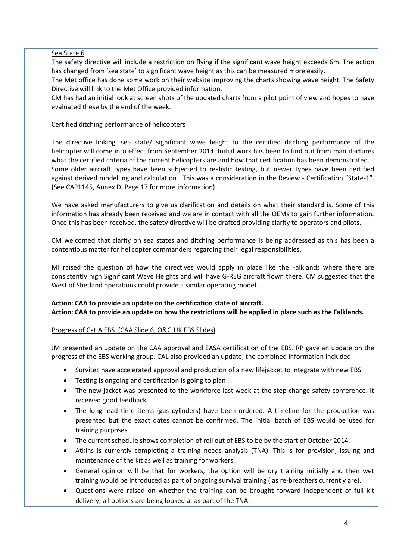### Sea State 6

The safety directive will include a restriction on flying if the significant wave height exceeds 6m. The action has changed from 'sea state' to significant wave height as this can be measured more easily.

The Met office has done some work on their website improving the charts showing wave height. The Safety Directive will link to the Met Office provided information.

CM has had an initial look at screen shots of the updated charts from a pilot point of view and hopes to have evaluated these by the end of the week.

## Certified ditching performance of helicopters

The directive linking sea state/ significant wave height to the certified ditching performance of the helicopter will come into effect from September 2014. Initial work has been to find out from manufactures what the certified criteria of the current helicopters are and how that certification has been demonstrated. Some older aircraft types have been subjected to realistic testing, but newer types have been certified against derived modelling and calculation. This was a consideration in the Review - Certification "State-1". (See CAP1145, Annex D, Page 17 for more information).

We have asked manufacturers to give us clarification and details on what their standard is. Some of this information has already been received and we are in contact with all the OEMs to gain further information. Once this has been received, the safety directive will be drafted providing clarity to operators and pilots.

CM welcomed that clarity on sea states and ditching performance is being addressed as this has been a contentious matter for helicopter commanders regarding their legal responsibilities.

MI raised the question of how the directives would apply in place like the Falklands where there are consistently high Significant Wave Heights and will have G-REG aircraft flown there. CM suggested that the West of Shetland operations could provide a similar operating model.

# **Action: CAA to provide an update on the certification state of aircraft.**

**Action: CAA to provide an update on how the restrictions will be applied in place such as the Falklands.** 

# Progress of Cat A EBS (CAA Slide 6, O&G UK EBS Slides)

JM presented an update on the CAA approval and EASA certification of the EBS. RP gave an update on the progress of the EBS working group. CAL also provided an update, the combined information included:

- Survitec have accelerated approval and production of a new lifejacket to integrate with new EBS.
- Testing is ongoing and certification is going to plan .
- The new jacket was presented to the workforce last week at the step change safety conference. It received good feedback
- The long lead time items (gas cylinders) have been ordered. A timeline for the production was presented but the exact dates cannot be confirmed. The initial batch of EBS would be used for training purposes.
- The current schedule shows completion of roll out of EBS to be by the start of October 2014.
- Atkins is currently completing a training needs analysis (TNA). This is for provision, issuing and maintenance of the kit as well as training for workers.
- General opinion will be that for workers, the option will be dry training initially and then wet training would be introduced as part of ongoing survival training ( as re-breathers currently are).
- Questions were raised on whether the training can be brought forward independent of full kit delivery; all options are being looked at as part of the TNA.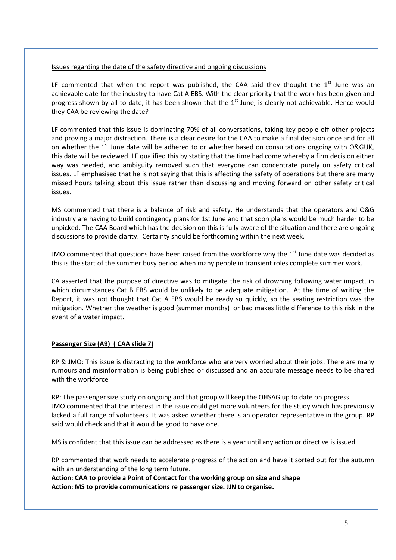#### Issues regarding the date of the safety directive and ongoing discussions

LF commented that when the report was published, the CAA said they thought the  $1<sup>st</sup>$  June was an achievable date for the industry to have Cat A EBS. With the clear priority that the work has been given and progress shown by all to date, it has been shown that the  $1<sup>st</sup>$  June, is clearly not achievable. Hence would they CAA be reviewing the date?

LF commented that this issue is dominating 70% of all conversations, taking key people off other projects and proving a major distraction. There is a clear desire for the CAA to make a final decision once and for all on whether the  $1<sup>st</sup>$  June date will be adhered to or whether based on consultations ongoing with O&GUK, this date will be reviewed. LF qualified this by stating that the time had come whereby a firm decision either way was needed, and ambiguity removed such that everyone can concentrate purely on safety critical issues. LF emphasised that he is not saying that this is affecting the safety of operations but there are many missed hours talking about this issue rather than discussing and moving forward on other safety critical issues.

MS commented that there is a balance of risk and safety. He understands that the operators and O&G industry are having to build contingency plans for 1st June and that soon plans would be much harder to be unpicked. The CAA Board which has the decision on this is fully aware of the situation and there are ongoing discussions to provide clarity. Certainty should be forthcoming within the next week.

JMO commented that questions have been raised from the workforce why the  $1<sup>st</sup>$  June date was decided as this is the start of the summer busy period when many people in transient roles complete summer work.

CA asserted that the purpose of directive was to mitigate the risk of drowning following water impact, in which circumstances Cat B EBS would be unlikely to be adequate mitigation. At the time of writing the Report, it was not thought that Cat A EBS would be ready so quickly, so the seating restriction was the mitigation. Whether the weather is good (summer months) or bad makes little difference to this risk in the event of a water impact.

### **Passenger Size (A9) ( CAA slide 7)**

RP & JMO: This issue is distracting to the workforce who are very worried about their jobs. There are many rumours and misinformation is being published or discussed and an accurate message needs to be shared with the workforce

RP: The passenger size study on ongoing and that group will keep the OHSAG up to date on progress. JMO commented that the interest in the issue could get more volunteers for the study which has previously lacked a full range of volunteers. It was asked whether there is an operator representative in the group. RP said would check and that it would be good to have one.

MS is confident that this issue can be addressed as there is a year until any action or directive is issued

RP commented that work needs to accelerate progress of the action and have it sorted out for the autumn with an understanding of the long term future.

**Action: CAA to provide a Point of Contact for the working group on size and shape Action: MS to provide communications re passenger size. JJN to organise.**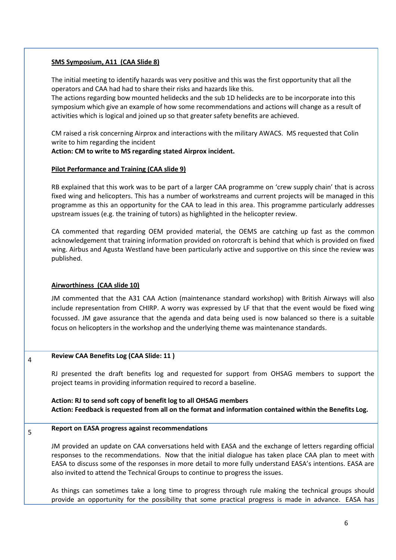#### **SMS Symposium, A11 (CAA Slide 8)**

The initial meeting to identify hazards was very positive and this was the first opportunity that all the operators and CAA had had to share their risks and hazards like this.

The actions regarding bow mounted helidecks and the sub 1D helidecks are to be incorporate into this symposium which give an example of how some recommendations and actions will change as a result of activities which is logical and joined up so that greater safety benefits are achieved.

CM raised a risk concerning Airprox and interactions with the military AWACS. MS requested that Colin write to him regarding the incident

### **Action: CM to write to MS regarding stated Airprox incident.**

#### **Pilot Performance and Training (CAA slide 9)**

RB explained that this work was to be part of a larger CAA programme on 'crew supply chain' that is across fixed wing and helicopters. This has a number of workstreams and current projects will be managed in this programme as this an opportunity for the CAA to lead in this area. This programme particularly addresses upstream issues (e.g. the training of tutors) as highlighted in the helicopter review.

CA commented that regarding OEM provided material, the OEMS are catching up fast as the common acknowledgement that training information provided on rotorcraft is behind that which is provided on fixed wing. Airbus and Agusta Westland have been particularly active and supportive on this since the review was published.

### **Airworthiness (CAA slide 10)**

JM commented that the A31 CAA Action (maintenance standard workshop) with British Airways will also include representation from CHIRP. A worry was expressed by LF that that the event would be fixed wing focussed. JM gave assurance that the agenda and data being used is now balanced so there is a suitable focus on helicopters in the workshop and the underlying theme was maintenance standards.

#### **Review CAA Benefits Log (CAA Slide: 11 )**

4

5

RJ presented the draft benefits log and requested for support from OHSAG members to support the project teams in providing information required to record a baseline.

**Action: RJ to send soft copy of benefit log to all OHSAG members Action: Feedback is requested from all on the format and information contained within the Benefits Log.**

#### **Report on EASA progress against recommendations**

JM provided an update on CAA conversations held with EASA and the exchange of letters regarding official responses to the recommendations. Now that the initial dialogue has taken place CAA plan to meet with EASA to discuss some of the responses in more detail to more fully understand EASA's intentions. EASA are also invited to attend the Technical Groups to continue to progress the issues.

As things can sometimes take a long time to progress through rule making the technical groups should provide an opportunity for the possibility that some practical progress is made in advance. EASA has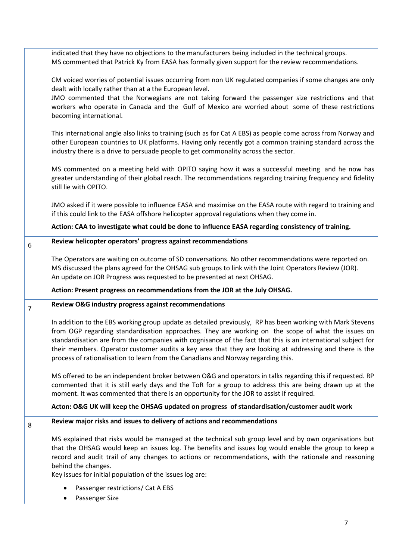|                | indicated that they have no objections to the manufacturers being included in the technical groups.<br>MS commented that Patrick Ky from EASA has formally given support for the review recommendations.                                                                                                                                                                                                                                                                                                                        |
|----------------|---------------------------------------------------------------------------------------------------------------------------------------------------------------------------------------------------------------------------------------------------------------------------------------------------------------------------------------------------------------------------------------------------------------------------------------------------------------------------------------------------------------------------------|
|                | CM voiced worries of potential issues occurring from non UK regulated companies if some changes are only<br>dealt with locally rather than at a the European level.<br>JMO commented that the Norwegians are not taking forward the passenger size restrictions and that                                                                                                                                                                                                                                                        |
|                | workers who operate in Canada and the Gulf of Mexico are worried about some of these restrictions<br>becoming international.                                                                                                                                                                                                                                                                                                                                                                                                    |
|                | This international angle also links to training (such as for Cat A EBS) as people come across from Norway and<br>other European countries to UK platforms. Having only recently got a common training standard across the<br>industry there is a drive to persuade people to get commonality across the sector.                                                                                                                                                                                                                 |
|                | MS commented on a meeting held with OPITO saying how it was a successful meeting and he now has<br>greater understanding of their global reach. The recommendations regarding training frequency and fidelity<br>still lie with OPITO.                                                                                                                                                                                                                                                                                          |
|                | JMO asked if it were possible to influence EASA and maximise on the EASA route with regard to training and<br>if this could link to the EASA offshore helicopter approval regulations when they come in.                                                                                                                                                                                                                                                                                                                        |
|                | Action: CAA to investigate what could be done to influence EASA regarding consistency of training.                                                                                                                                                                                                                                                                                                                                                                                                                              |
| 6              | Review helicopter operators' progress against recommendations                                                                                                                                                                                                                                                                                                                                                                                                                                                                   |
|                | The Operators are waiting on outcome of SD conversations. No other recommendations were reported on.<br>MS discussed the plans agreed for the OHSAG sub groups to link with the Joint Operators Review (JOR).<br>An update on JOR Progress was requested to be presented at next OHSAG.                                                                                                                                                                                                                                         |
|                | Action: Present progress on recommendations from the JOR at the July OHSAG.                                                                                                                                                                                                                                                                                                                                                                                                                                                     |
| $\overline{7}$ | Review O&G industry progress against recommendations                                                                                                                                                                                                                                                                                                                                                                                                                                                                            |
|                | In addition to the EBS working group update as detailed previously, RP has been working with Mark Stevens<br>from OGP regarding standardisation approaches. They are working on the scope of what the issues on<br>standardisation are from the companies with cognisance of the fact that this is an international subject for<br>their members. Operator customer audits a key area that they are looking at addressing and there is the<br>process of rationalisation to learn from the Canadians and Norway regarding this. |
|                | MS offered to be an independent broker between O&G and operators in talks regarding this if requested. RP<br>commented that it is still early days and the ToR for a group to address this are being drawn up at the<br>moment. It was commented that there is an opportunity for the JOR to assist if required.                                                                                                                                                                                                                |
|                | Acton: O&G UK will keep the OHSAG updated on progress of standardisation/customer audit work                                                                                                                                                                                                                                                                                                                                                                                                                                    |
| 8              | Review major risks and issues to delivery of actions and recommendations                                                                                                                                                                                                                                                                                                                                                                                                                                                        |
|                | MS explained that risks would be managed at the technical sub group level and by own organisations but<br>that the OHSAG would keep an issues log. The benefits and issues log would enable the group to keep a<br>record and audit trail of any changes to actions or recommendations, with the rationale and reasoning<br>behind the changes.                                                                                                                                                                                 |
|                | Key issues for initial population of the issues log are:                                                                                                                                                                                                                                                                                                                                                                                                                                                                        |
|                | Passenger restrictions/ Cat A EBS                                                                                                                                                                                                                                                                                                                                                                                                                                                                                               |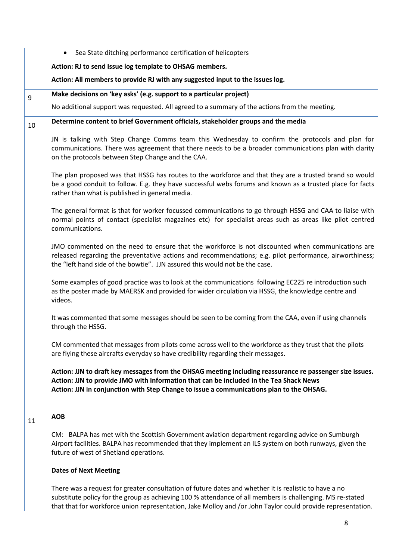|    | Sea State ditching performance certification of helicopters                                                                                                                                                                                                                                                                       |
|----|-----------------------------------------------------------------------------------------------------------------------------------------------------------------------------------------------------------------------------------------------------------------------------------------------------------------------------------|
|    | Action: RJ to send Issue log template to OHSAG members.                                                                                                                                                                                                                                                                           |
|    | Action: All members to provide RJ with any suggested input to the issues log.                                                                                                                                                                                                                                                     |
| 9  | Make decisions on 'key asks' (e.g. support to a particular project)                                                                                                                                                                                                                                                               |
|    | No additional support was requested. All agreed to a summary of the actions from the meeting.                                                                                                                                                                                                                                     |
| 10 | Determine content to brief Government officials, stakeholder groups and the media                                                                                                                                                                                                                                                 |
|    | JN is talking with Step Change Comms team this Wednesday to confirm the protocols and plan for<br>communications. There was agreement that there needs to be a broader communications plan with clarity<br>on the protocols between Step Change and the CAA.                                                                      |
|    | The plan proposed was that HSSG has routes to the workforce and that they are a trusted brand so would<br>be a good conduit to follow. E.g. they have successful webs forums and known as a trusted place for facts<br>rather than what is published in general media.                                                            |
|    | The general format is that for worker focussed communications to go through HSSG and CAA to liaise with<br>normal points of contact (specialist magazines etc) for specialist areas such as areas like pilot centred<br>communications.                                                                                           |
|    | JMO commented on the need to ensure that the workforce is not discounted when communications are<br>released regarding the preventative actions and recommendations; e.g. pilot performance, airworthiness;<br>the "left hand side of the bowtie". JJN assured this would not be the case.                                        |
|    | Some examples of good practice was to look at the communications following EC225 re introduction such<br>as the poster made by MAERSK and provided for wider circulation via HSSG, the knowledge centre and<br>videos.                                                                                                            |
|    | It was commented that some messages should be seen to be coming from the CAA, even if using channels<br>through the HSSG.                                                                                                                                                                                                         |
|    | CM commented that messages from pilots come across well to the workforce as they trust that the pilots<br>are flying these aircrafts everyday so have credibility regarding their messages.                                                                                                                                       |
|    | Action: JJN to draft key messages from the OHSAG meeting including reassurance re passenger size issues.<br>Action: JJN to provide JMO with information that can be included in the Tea Shack News<br>Action: JJN in conjunction with Step Change to issue a communications plan to the OHSAG.                                    |
| 11 | <b>AOB</b>                                                                                                                                                                                                                                                                                                                        |
|    | CM: BALPA has met with the Scottish Government aviation department regarding advice on Sumburgh<br>Airport facilities. BALPA has recommended that they implement an ILS system on both runways, given the<br>future of west of Shetland operations.                                                                               |
|    | <b>Dates of Next Meeting</b>                                                                                                                                                                                                                                                                                                      |
|    | There was a request for greater consultation of future dates and whether it is realistic to have a no<br>substitute policy for the group as achieving 100 % attendance of all members is challenging. MS re-stated<br>that that for workforce union representation, Jake Molloy and /or John Taylor could provide representation. |